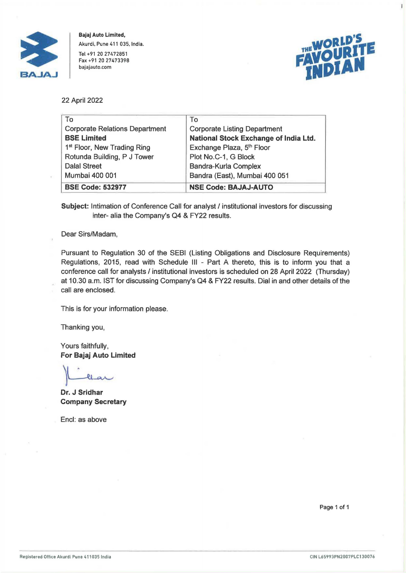

**Bajaj Auto Limited,**  Akurdi, Pune 411 035, India. Tel +91 20 27472851 Fax +91 20 27473398 bajajauto.com



ï

22 April 2022

| To                                      | To                                    |
|-----------------------------------------|---------------------------------------|
| <b>Corporate Relations Department</b>   | <b>Corporate Listing Department</b>   |
| <b>BSE Limited</b>                      | National Stock Exchange of India Ltd. |
| 1 <sup>st</sup> Floor, New Trading Ring | Exchange Plaza, 5 <sup>th</sup> Floor |
| Rotunda Building, P J Tower             | Plot No.C-1, G Block                  |
| <b>Dalal Street</b>                     | Bandra-Kurla Complex                  |
| Mumbai 400 001                          | Bandra (East), Mumbai 400 051         |
| <b>BSE Code: 532977</b>                 | <b>NSE Code: BAJAJ-AUTO</b>           |

Subject: Intimation of Conference Call for analyst / institutional investors for discussing inter- alia the Company's Q4 & FY22 results.

Dear Sirs/Madam,

Pursuant to Regulation 30 of the SEBI (Listing Obligations and Disclosure Requirements) Regulations, 2015, read with Schedule Ill - Part A thereto, this is to inform you that a conference call for analysts / institutional investors is scheduled on 28 April 2022 (Thursday) at 10.30 a.m. 1ST for discussing Company's Q4 & FY22 results. Dial in and other details of the call are enclosed.

This is for your information please.

Thanking you,

Yours faithfully, **For Bajaj Auto Limited** 

**Dr. J Sridhar Company Secretary** 

Encl: as above

Page 1 of 1